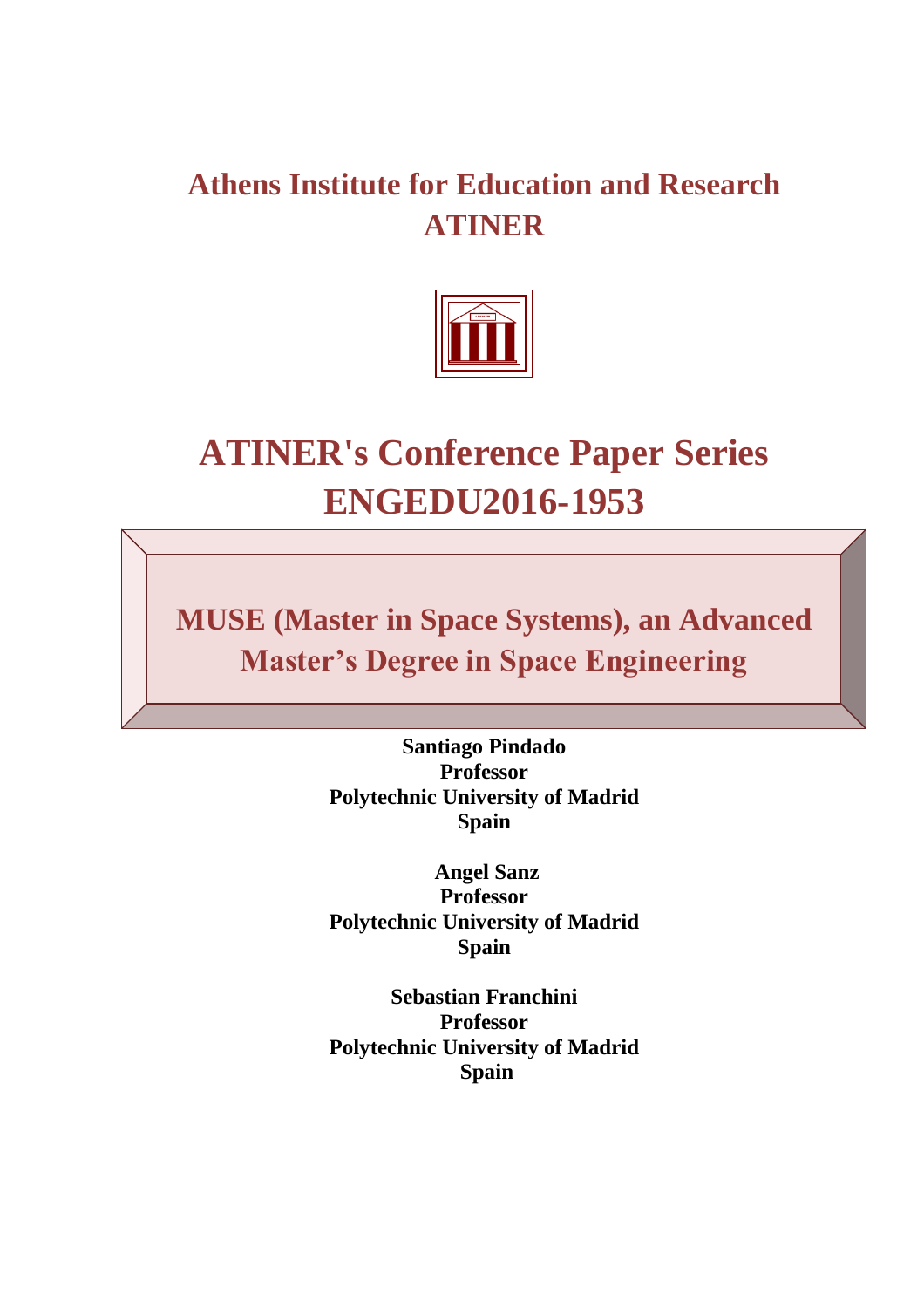# **Athens Institute for Education and Research ATINER**



# **ATINER's Conference Paper Series ENGEDU2016-1953**

**MUSE (Master in Space Systems), an Advanced Master's Degree in Space Engineering**

> **Santiago Pindado Professor Polytechnic University of Madrid Spain**

> **Angel Sanz Professor Polytechnic University of Madrid Spain**

> **Sebastian Franchini Professor Polytechnic University of Madrid Spain**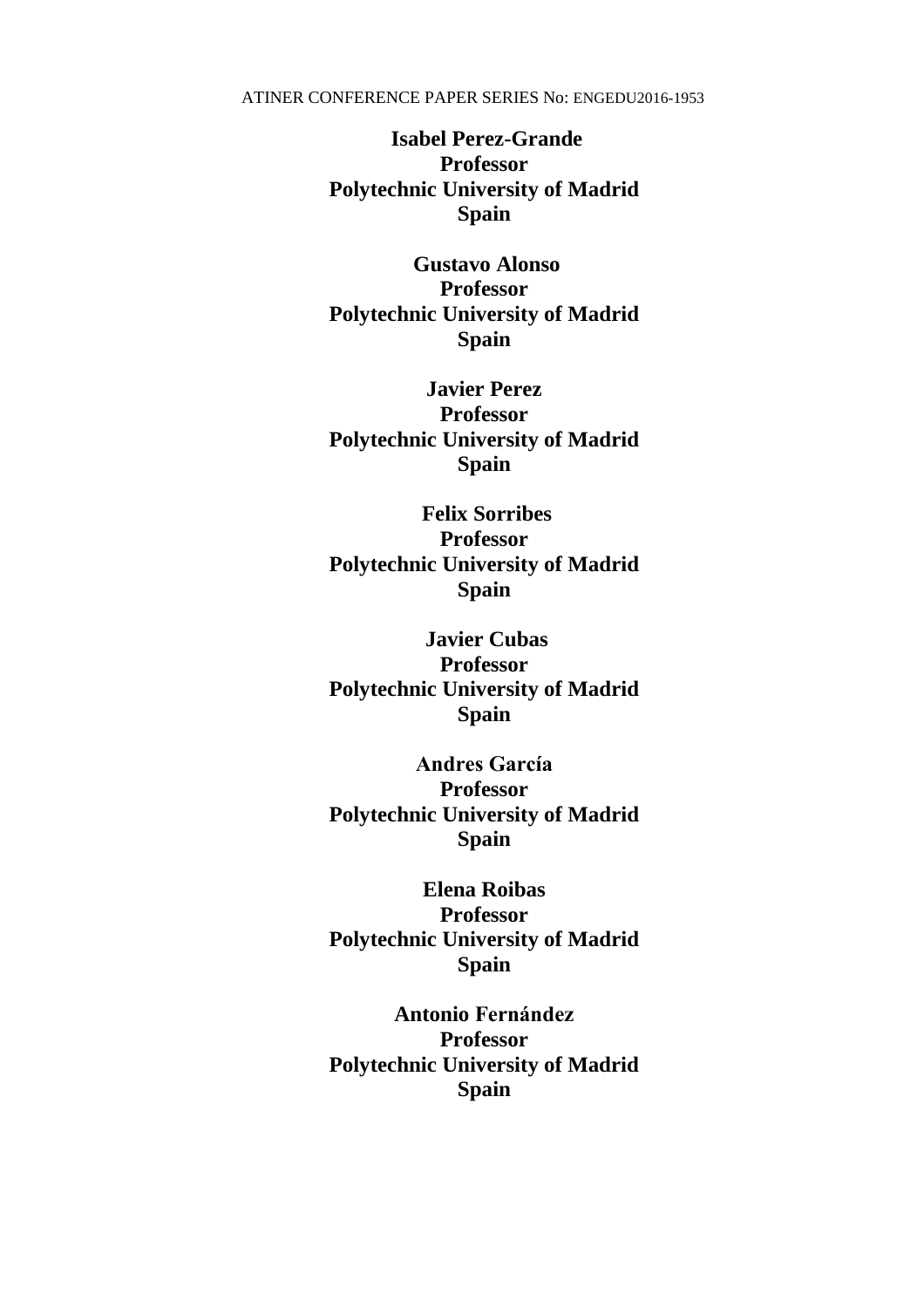**Isabel Perez-Grande Professor Polytechnic University of Madrid Spain**

**Gustavo Alonso Professor Polytechnic University of Madrid Spain**

**Javier Perez Professor Polytechnic University of Madrid Spain**

**Felix Sorribes Professor Polytechnic University of Madrid Spain**

**Javier Cubas Professor Polytechnic University of Madrid Spain**

**Andres García Professor Polytechnic University of Madrid Spain** 

**Elena Roibas Professor Polytechnic University of Madrid Spain**

**Antonio Fernández Professor Polytechnic University of Madrid Spain**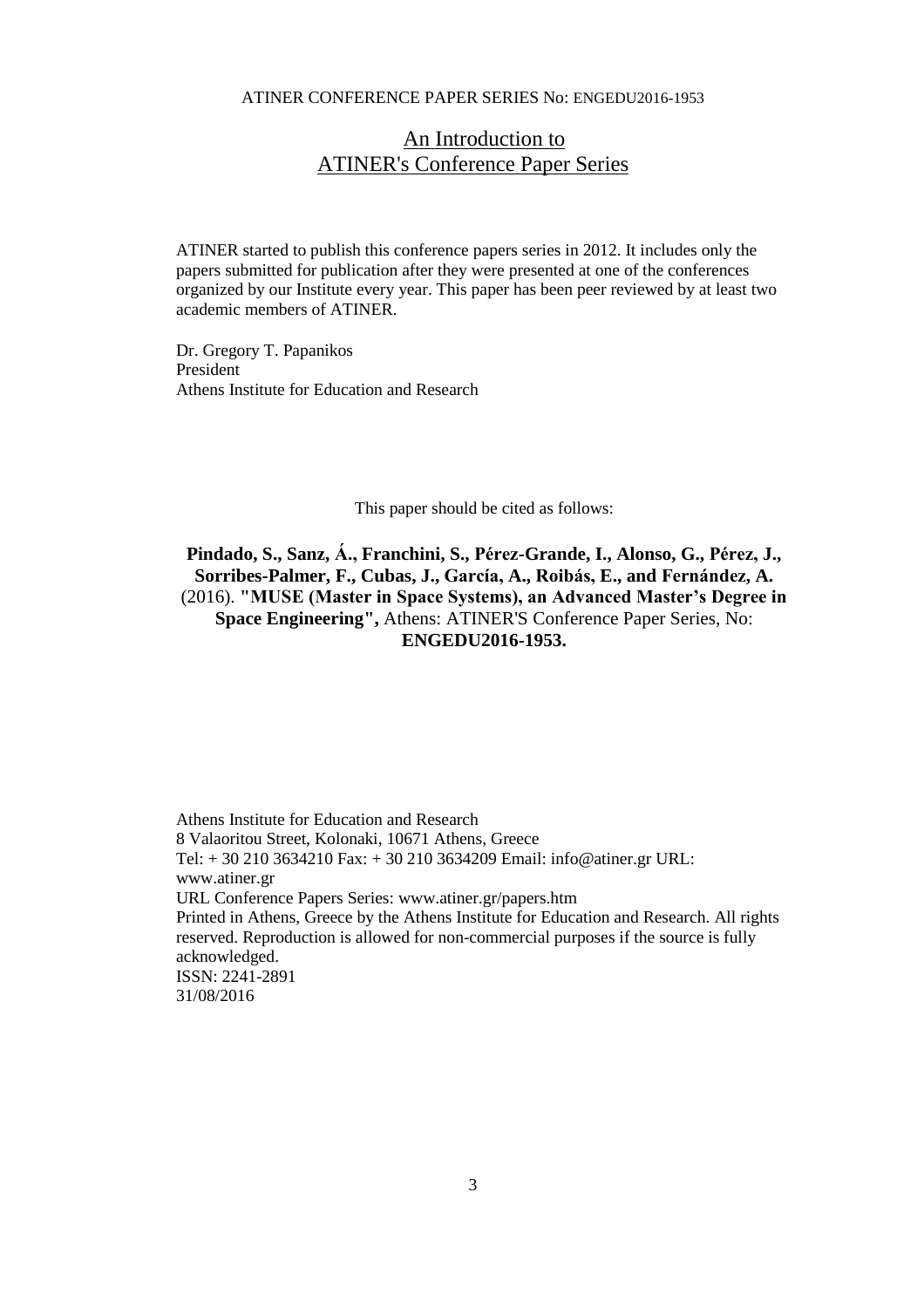## An Introduction to ATINER's Conference Paper Series

ATINER started to publish this conference papers series in 2012. It includes only the papers submitted for publication after they were presented at one of the conferences organized by our Institute every year. This paper has been peer reviewed by at least two academic members of ATINER.

Dr. Gregory T. Papanikos President Athens Institute for Education and Research

This paper should be cited as follows:

**Pindado, S., Sanz, Á., Franchini, S., Pérez-Grande, I., Alonso, G., Pérez, J., Sorribes-Palmer, F., Cubas, J., García, A., Roibás, E., and Fernández, A.** (2016). **"MUSE (Master in Space Systems), an Advanced Master's Degree in Space Engineering",** Athens: ATINER'S Conference Paper Series, No: **ENGEDU2016-1953.**

Athens Institute for Education and Research 8 Valaoritou Street, Kolonaki, 10671 Athens, Greece Tel: + 30 210 3634210 Fax: + 30 210 3634209 Email: info@atiner.gr URL: www.atiner.gr URL Conference Papers Series: www.atiner.gr/papers.htm Printed in Athens, Greece by the Athens Institute for Education and Research. All rights reserved. Reproduction is allowed for non-commercial purposes if the source is fully acknowledged. ISSN: 2241-2891 31/08/2016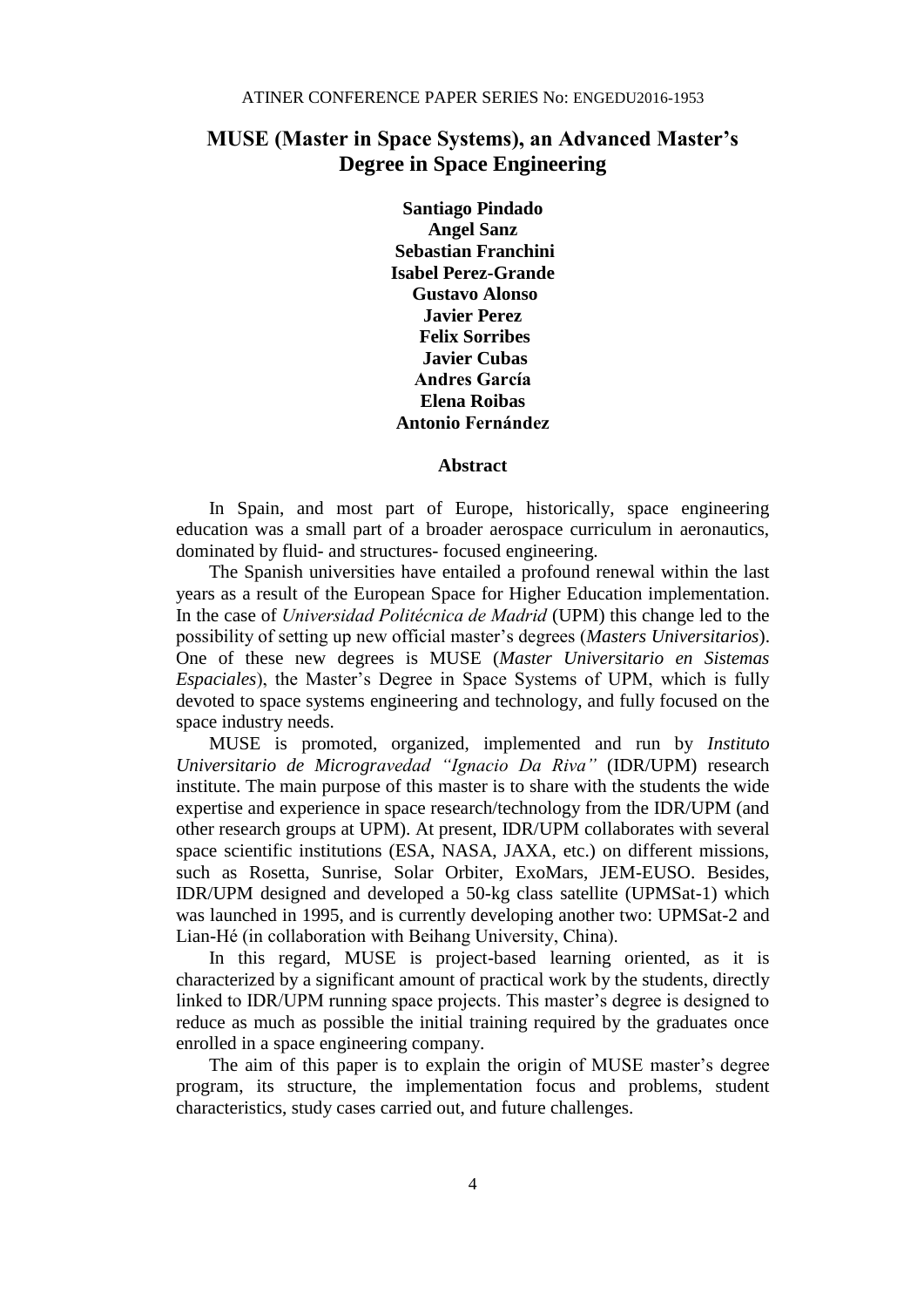### **MUSE (Master in Space Systems), an Advanced Master's Degree in Space Engineering**

**Santiago Pindado Angel Sanz Sebastian Franchini Isabel Perez-Grande Gustavo Alonso Javier Perez Felix Sorribes Javier Cubas Andres García Elena Roibas Antonio Fernández**

#### **Abstract**

In Spain, and most part of Europe, historically, space engineering education was a small part of a broader aerospace curriculum in aeronautics, dominated by fluid- and structures- focused engineering.

The Spanish universities have entailed a profound renewal within the last years as a result of the European Space for Higher Education implementation. In the case of *Universidad Politécnica de Madrid* (UPM) this change led to the possibility of setting up new official master's degrees (*Masters Universitarios*). One of these new degrees is MUSE (*Master Universitario en Sistemas Espaciales*), the Master's Degree in Space Systems of UPM, which is fully devoted to space systems engineering and technology, and fully focused on the space industry needs.

MUSE is promoted, organized, implemented and run by *Instituto Universitario de Microgravedad "Ignacio Da Riva"* (IDR/UPM) research institute. The main purpose of this master is to share with the students the wide expertise and experience in space research/technology from the IDR/UPM (and other research groups at UPM). At present, IDR/UPM collaborates with several space scientific institutions (ESA, NASA, JAXA, etc.) on different missions, such as Rosetta, Sunrise, Solar Orbiter, ExoMars, JEM-EUSO. Besides, IDR/UPM designed and developed a 50-kg class satellite (UPMSat-1) which was launched in 1995, and is currently developing another two: UPMSat-2 and Lian-Hé (in collaboration with Beihang University, China).

In this regard, MUSE is project-based learning oriented, as it is characterized by a significant amount of practical work by the students, directly linked to IDR/UPM running space projects. This master's degree is designed to reduce as much as possible the initial training required by the graduates once enrolled in a space engineering company.

The aim of this paper is to explain the origin of MUSE master's degree program, its structure, the implementation focus and problems, student characteristics, study cases carried out, and future challenges.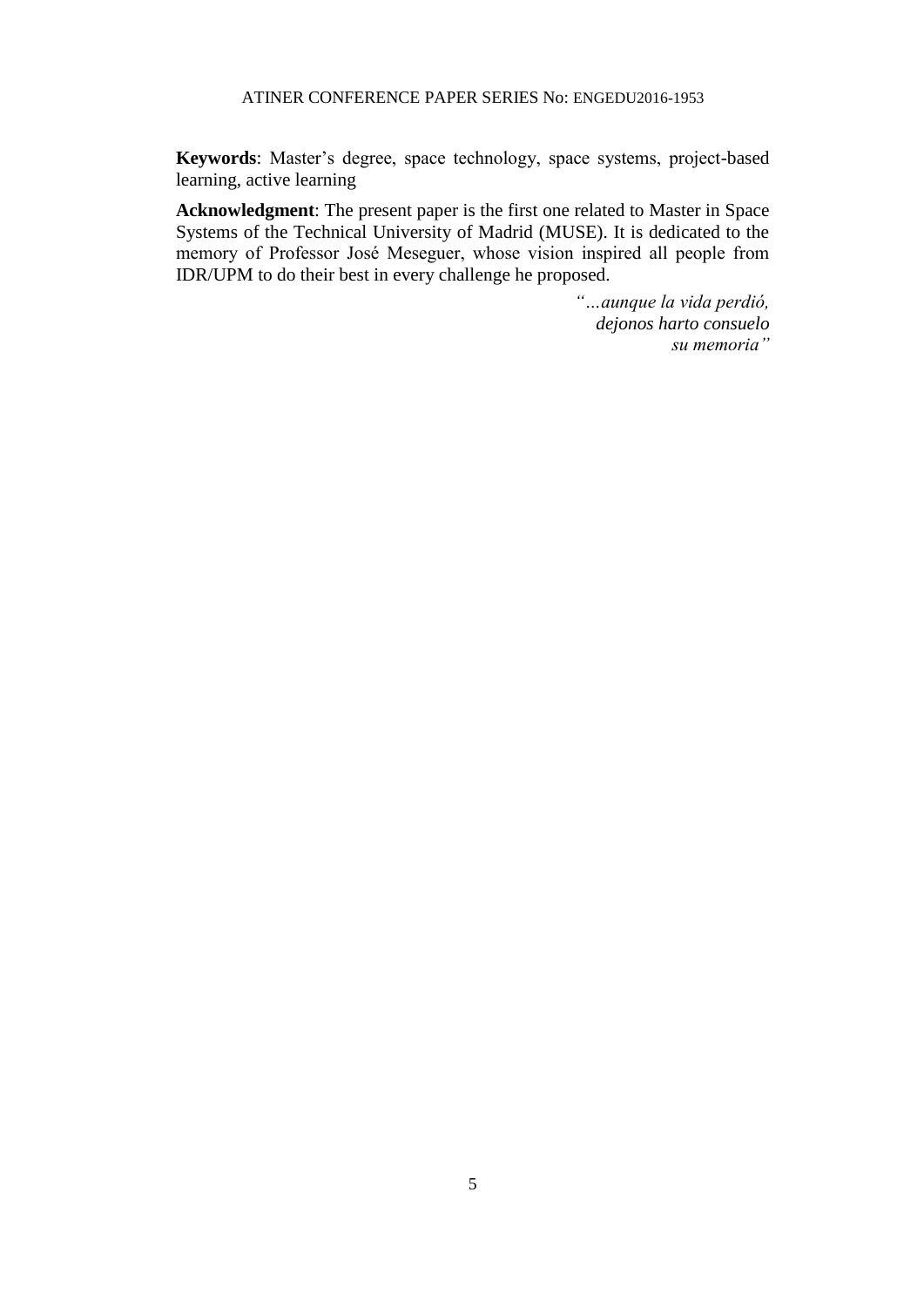**Keywords**: Master's degree, space technology, space systems, project-based learning, active learning

**Acknowledgment**: The present paper is the first one related to Master in Space Systems of the Technical University of Madrid (MUSE). It is dedicated to the memory of Professor José Meseguer, whose vision inspired all people from IDR/UPM to do their best in every challenge he proposed.

> *"…aunque la vida perdió, dejonos harto consuelo su memoria"*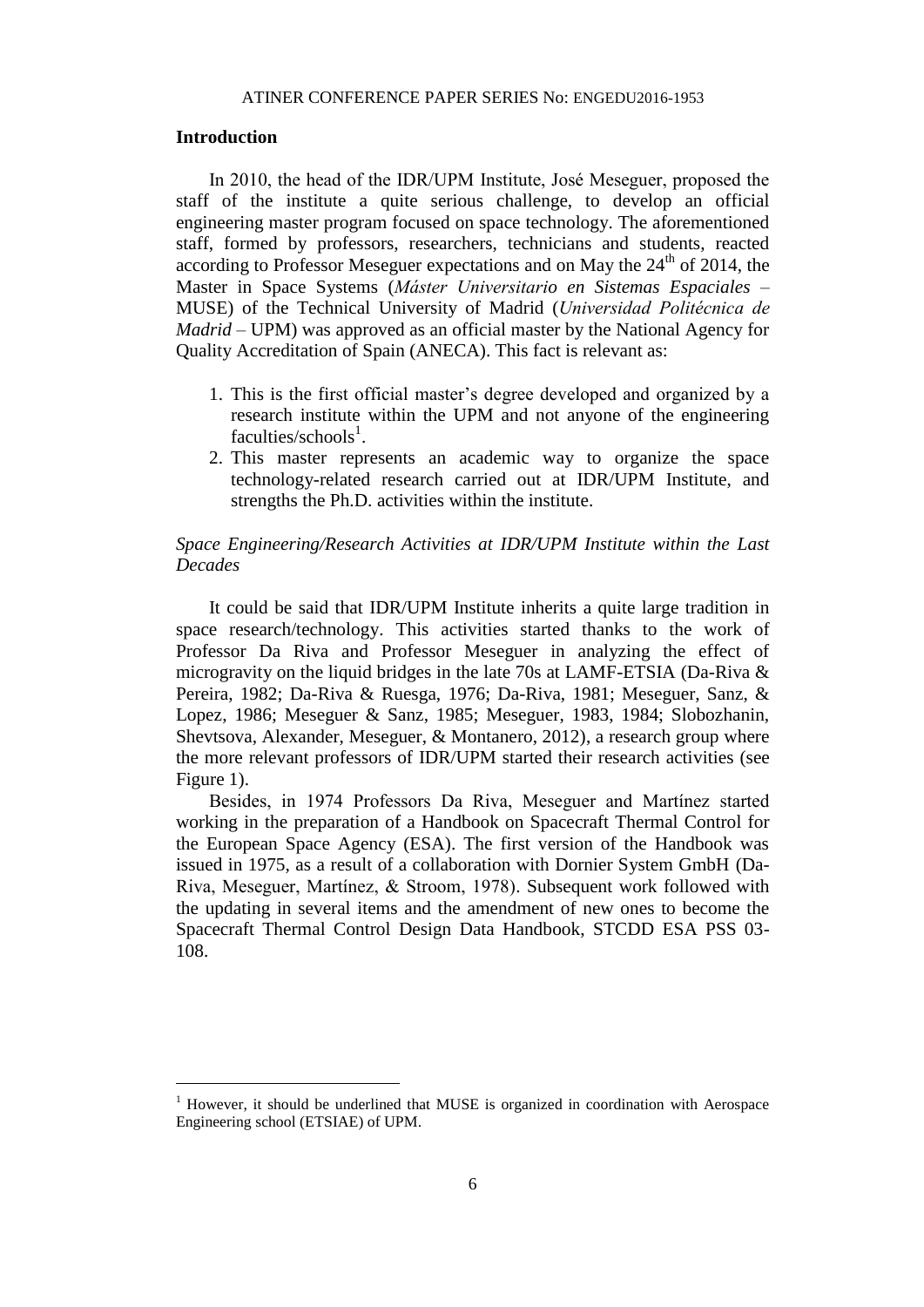#### **Introduction**

 $\overline{a}$ 

In 2010, the head of the IDR/UPM Institute, José Meseguer, proposed the staff of the institute a quite serious challenge, to develop an official engineering master program focused on space technology. The aforementioned staff, formed by professors, researchers, technicians and students, reacted according to Professor Meseguer expectations and on May the  $24<sup>th</sup>$  of 2014, the Master in Space Systems (*Máster Universitario en Sistemas Espaciales* – MUSE) of the Technical University of Madrid (*Universidad Politécnica de Madrid* – UPM) was approved as an official master by the National Agency for Quality Accreditation of Spain (ANECA). This fact is relevant as:

- 1. This is the first official master's degree developed and organized by a research institute within the UPM and not anyone of the engineering faculties/schools<sup>1</sup>.
- 2. This master represents an academic way to organize the space technology-related research carried out at IDR/UPM Institute, and strengths the Ph.D. activities within the institute.

#### *Space Engineering/Research Activities at IDR/UPM Institute within the Last Decades*

It could be said that IDR/UPM Institute inherits a quite large tradition in space research/technology. This activities started thanks to the work of Professor Da Riva and Professor Meseguer in analyzing the effect of microgravity on the liquid bridges in the late 70s at LAMF-ETSIA (Da-Riva  $\&$ Pereira, 1982; Da-Riva & Ruesga, 1976; Da-Riva, 1981; Meseguer, Sanz, & Lopez, 1986; Meseguer & Sanz, 1985; Meseguer, 1983, 1984; Slobozhanin, Shevtsova, Alexander, Meseguer, & Montanero, 2012), a research group where the more relevant professors of IDR/UPM started their research activities (see Figure 1).

Besides, in 1974 Professors Da Riva, Meseguer and Martínez started working in the preparation of a Handbook on Spacecraft Thermal Control for the European Space Agency (ESA). The first version of the Handbook was issued in 1975, as a result of a collaboration with Dornier System GmbH (Da-Riva, Meseguer, Martínez, & Stroom, 1978). Subsequent work followed with the updating in several items and the amendment of new ones to become the Spacecraft Thermal Control Design Data Handbook, STCDD ESA PSS 03- 108.

<sup>1</sup> However, it should be underlined that MUSE is organized in coordination with Aerospace Engineering school (ETSIAE) of UPM.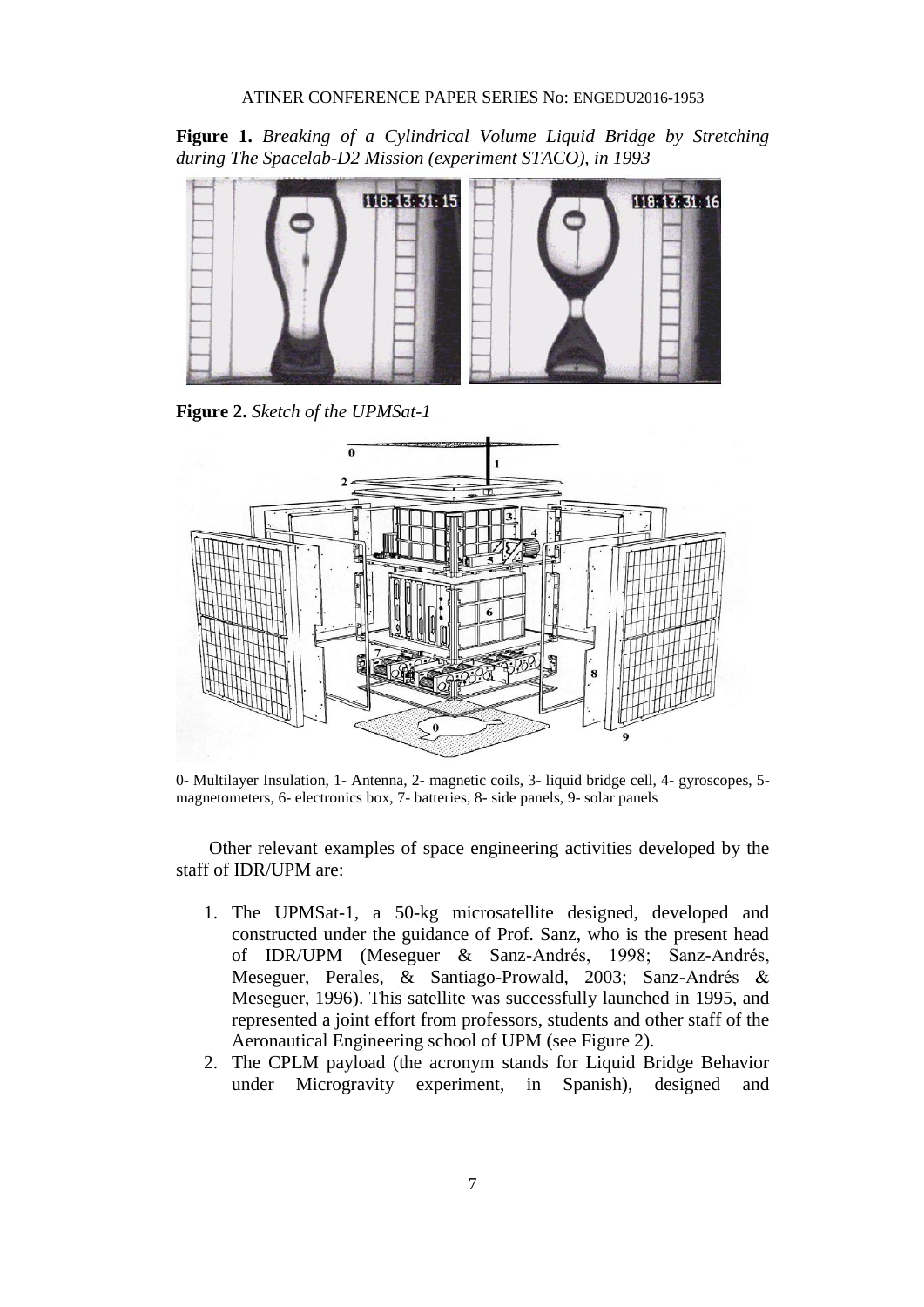**Figure 1.** *Breaking of a Cylindrical Volume Liquid Bridge by Stretching during The Spacelab-D2 Mission (experiment STACO), in 1993*



**Figure 2.** *Sketch of the UPMSat-1*



0- Multilayer Insulation, 1- Antenna, 2- magnetic coils, 3- liquid bridge cell, 4- gyroscopes, 5 magnetometers, 6- electronics box, 7- batteries, 8- side panels, 9- solar panels

Other relevant examples of space engineering activities developed by the staff of IDR/UPM are:

- 1. The UPMSat-1, a 50-kg microsatellite designed, developed and constructed under the guidance of Prof. Sanz, who is the present head of IDR/UPM (Meseguer & Sanz-Andrés, 1998; Sanz-Andrés, Meseguer, Perales, & Santiago-Prowald, 2003; Sanz-Andrés & Meseguer, 1996). This satellite was successfully launched in 1995, and represented a joint effort from professors, students and other staff of the Aeronautical Engineering school of UPM (see Figure 2).
- 2. The CPLM payload (the acronym stands for Liquid Bridge Behavior under Microgravity experiment, in Spanish), designed and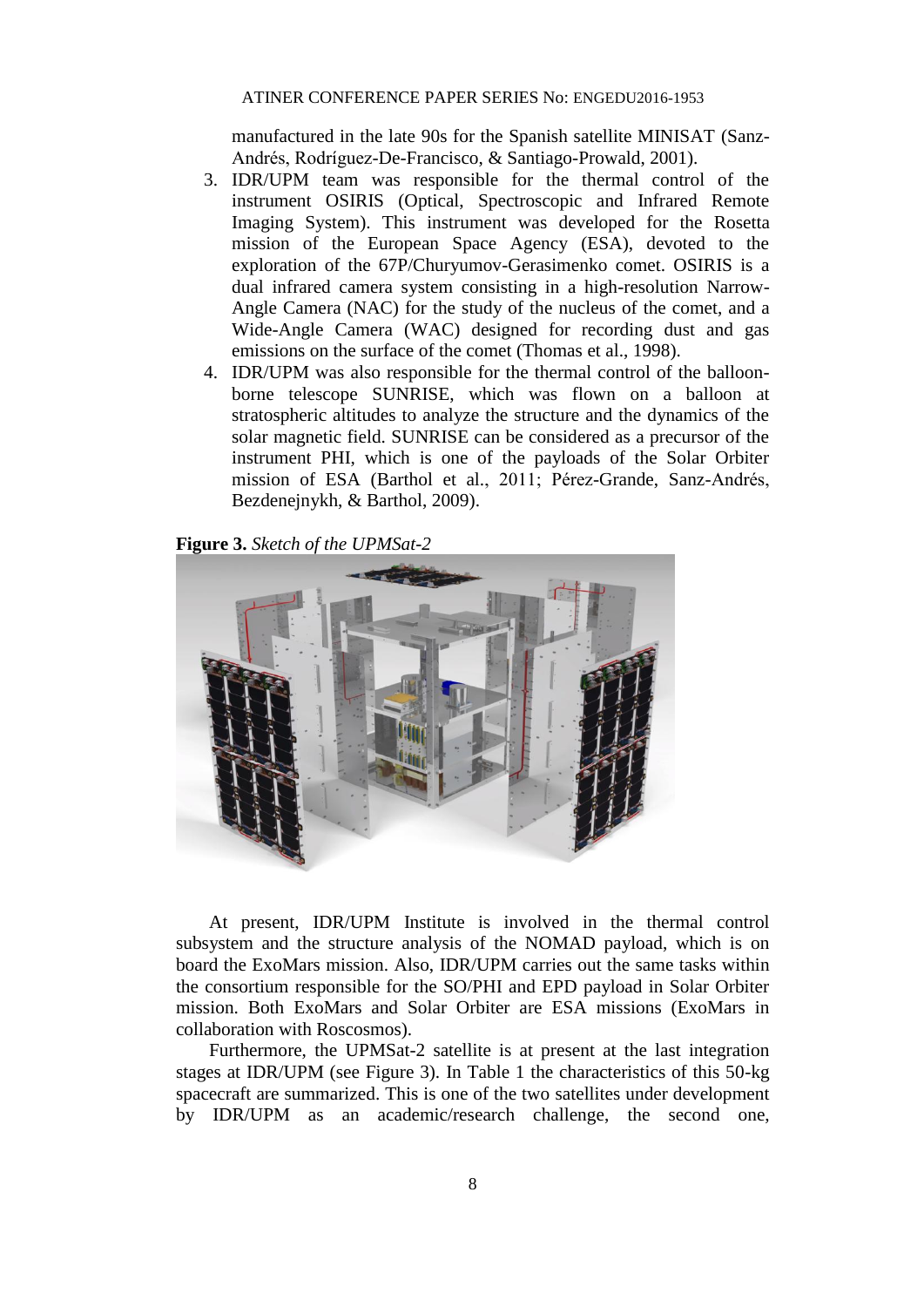manufactured in the late 90s for the Spanish satellite MINISAT (Sanz-Andrés, Rodríguez-De-Francisco, & Santiago-Prowald, 2001).

- 3. IDR/UPM team was responsible for the thermal control of the instrument OSIRIS (Optical, Spectroscopic and Infrared Remote Imaging System). This instrument was developed for the Rosetta mission of the European Space Agency (ESA), devoted to the exploration of the 67P/Churyumov-Gerasimenko comet. OSIRIS is a dual infrared camera system consisting in a high-resolution Narrow-Angle Camera (NAC) for the study of the nucleus of the comet, and a Wide-Angle Camera (WAC) designed for recording dust and gas emissions on the surface of the comet (Thomas et al., 1998).
- 4. IDR/UPM was also responsible for the thermal control of the balloonborne telescope SUNRISE, which was flown on a balloon at stratospheric altitudes to analyze the structure and the dynamics of the solar magnetic field. SUNRISE can be considered as a precursor of the instrument PHI, which is one of the payloads of the Solar Orbiter mission of ESA (Barthol et al., 2011; Pérez-Grande, Sanz-Andrés, Bezdenejnykh, & Barthol, 2009).

**Figure 3.** *Sketch of the UPMSat-2*



At present, IDR/UPM Institute is involved in the thermal control subsystem and the structure analysis of the NOMAD payload, which is on board the ExoMars mission. Also, IDR/UPM carries out the same tasks within the consortium responsible for the SO/PHI and EPD payload in Solar Orbiter mission. Both ExoMars and Solar Orbiter are ESA missions (ExoMars in collaboration with Roscosmos).

Furthermore, the UPMSat-2 satellite is at present at the last integration stages at IDR/UPM (see Figure 3). In Table 1 the characteristics of this 50-kg spacecraft are summarized. This is one of the two satellites under development by IDR/UPM as an academic/research challenge, the second one,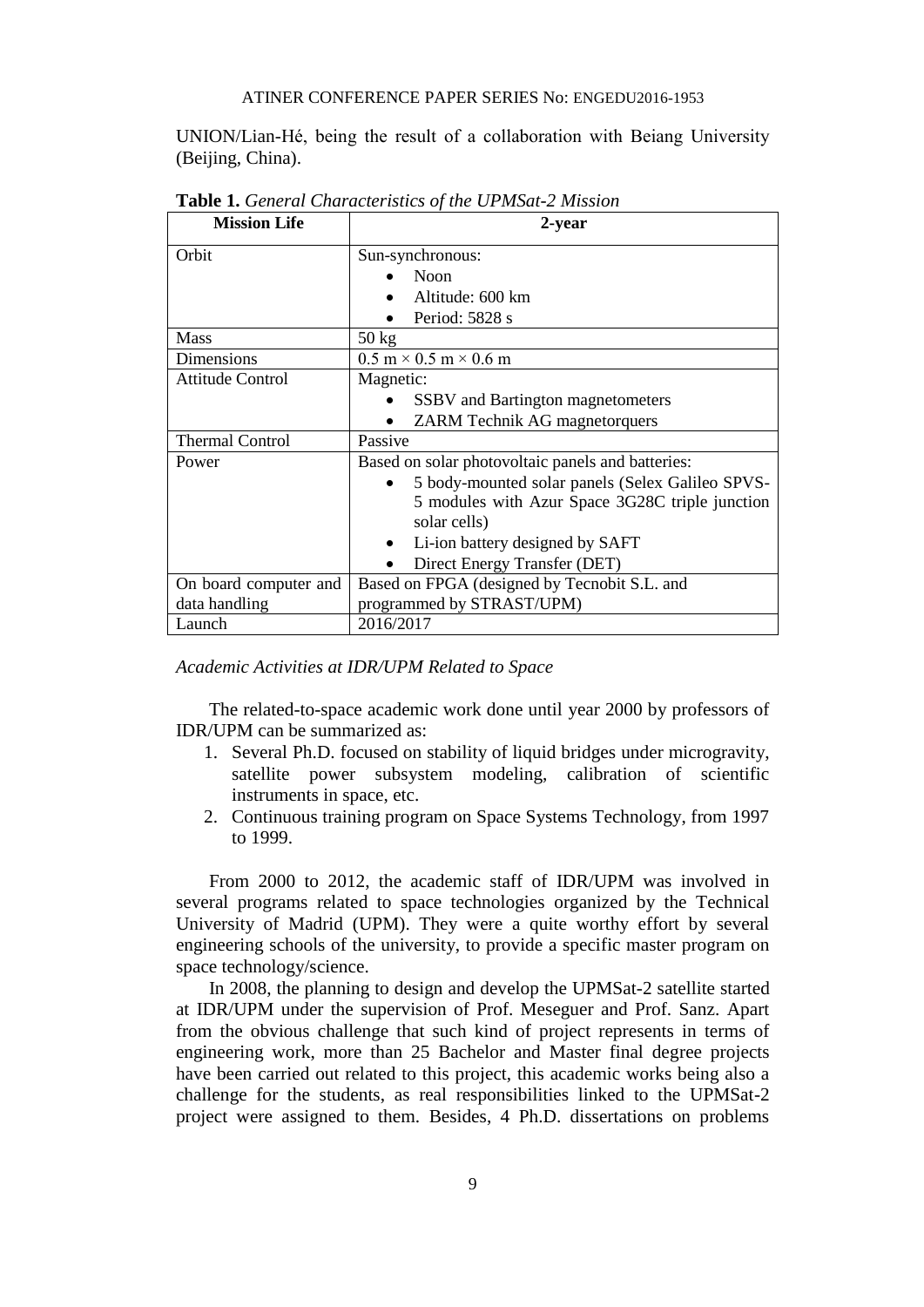UNION/Lian-Hé, being the result of a collaboration with Beiang University (Beijing, China).

| <b>Mission Life</b>     | 2-year                                                    |
|-------------------------|-----------------------------------------------------------|
| Orbit                   | Sun-synchronous:                                          |
|                         | <b>Noon</b>                                               |
|                         | Altitude: 600 km                                          |
|                         | Period: 5828 s                                            |
| Mass                    | $50 \text{ kg}$                                           |
| <b>Dimensions</b>       | $0.5 \text{ m} \times 0.5 \text{ m} \times 0.6 \text{ m}$ |
| <b>Attitude Control</b> | Magnetic:                                                 |
|                         | <b>SSBV</b> and Bartington magnetometers                  |
|                         | <b>ZARM</b> Technik AG magnetorquers                      |
| <b>Thermal Control</b>  | Passive                                                   |
| Power                   | Based on solar photovoltaic panels and batteries:         |
|                         | 5 body-mounted solar panels (Selex Galileo SPVS-          |
|                         | 5 modules with Azur Space 3G28C triple junction           |
|                         | solar cells)                                              |
|                         | Li-ion battery designed by SAFT<br>$\bullet$              |
|                         | Direct Energy Transfer (DET)                              |
| On board computer and   | Based on FPGA (designed by Tecnobit S.L. and              |
| data handling           | programmed by STRAST/UPM)                                 |
| Launch                  | 2016/2017                                                 |

**Table 1.** *General Characteristics of the UPMSat-2 Mission*

*Academic Activities at IDR/UPM Related to Space*

The related-to-space academic work done until year 2000 by professors of IDR/UPM can be summarized as:

- 1. Several Ph.D. focused on stability of liquid bridges under microgravity, satellite power subsystem modeling, calibration of scientific instruments in space, etc.
- 2. Continuous training program on Space Systems Technology, from 1997 to 1999.

From 2000 to 2012, the academic staff of IDR/UPM was involved in several programs related to space technologies organized by the Technical University of Madrid (UPM). They were a quite worthy effort by several engineering schools of the university, to provide a specific master program on space technology/science.

In 2008, the planning to design and develop the UPMSat-2 satellite started at IDR/UPM under the supervision of Prof. Meseguer and Prof. Sanz. Apart from the obvious challenge that such kind of project represents in terms of engineering work, more than 25 Bachelor and Master final degree projects have been carried out related to this project, this academic works being also a challenge for the students, as real responsibilities linked to the UPMSat-2 project were assigned to them. Besides, 4 Ph.D. dissertations on problems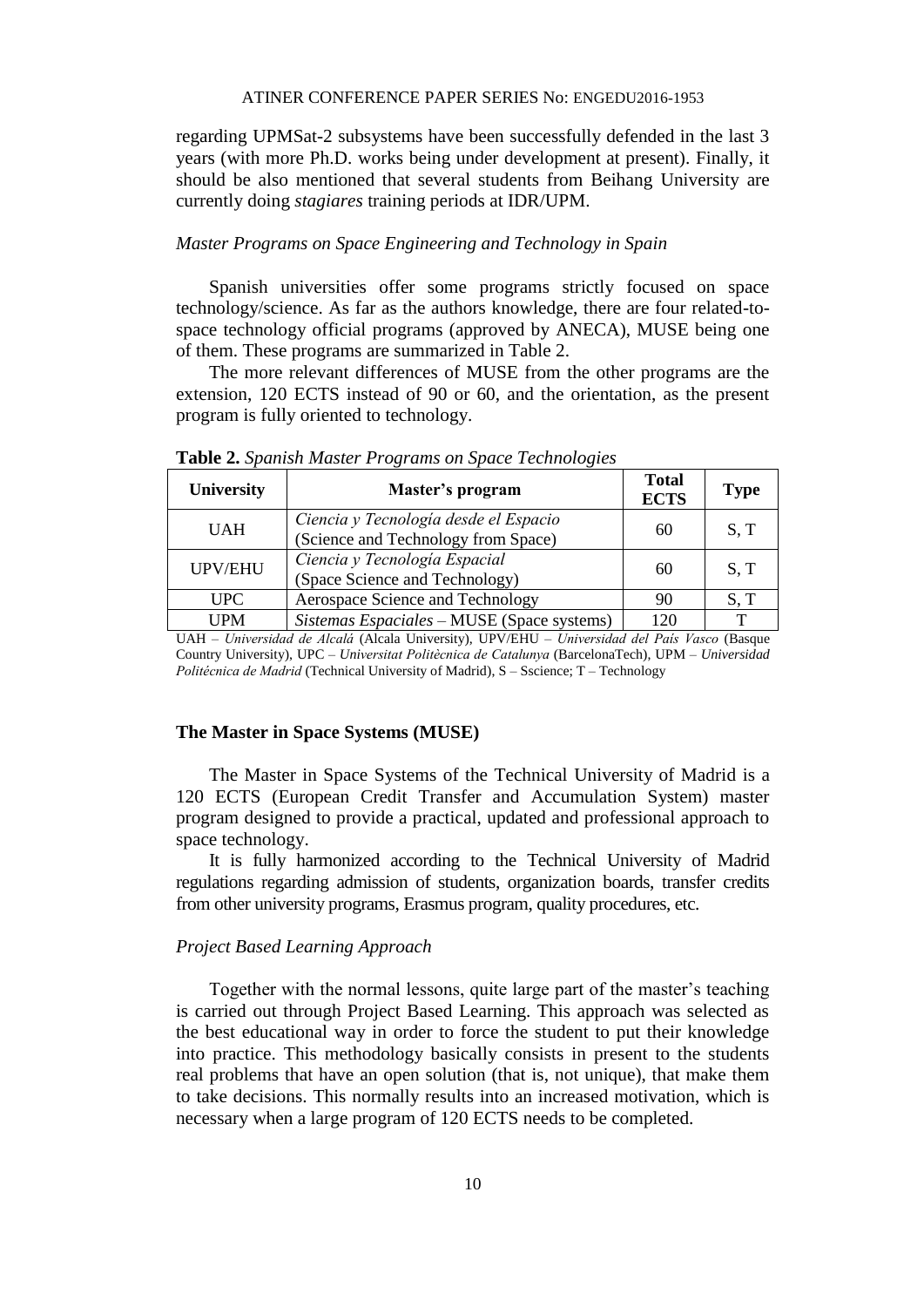regarding UPMSat-2 subsystems have been successfully defended in the last 3 years (with more Ph.D. works being under development at present). Finally, it should be also mentioned that several students from Beihang University are currently doing *stagiares* training periods at IDR/UPM.

#### *Master Programs on Space Engineering and Technology in Spain*

Spanish universities offer some programs strictly focused on space technology/science. As far as the authors knowledge, there are four related-tospace technology official programs (approved by ANECA), MUSE being one of them. These programs are summarized in Table 2.

The more relevant differences of MUSE from the other programs are the extension, 120 ECTS instead of 90 or 60, and the orientation, as the present program is fully oriented to technology.

| University   | Master's program                                                             | <b>Total</b><br><b>ECTS</b> | <b>Type</b>  |
|--------------|------------------------------------------------------------------------------|-----------------------------|--------------|
| <b>UAH</b>   | Ciencia y Tecnología desde el Espacio<br>(Science and Technology from Space) | 60                          | S, T         |
| UPV/EHU      | Ciencia y Tecnología Espacial<br>(Space Science and Technology)              | 60                          | S, T         |
| <b>UPC</b>   | Aerospace Science and Technology                                             | 90                          | S, T         |
| <b>I</b> JPM | Sistemas Espaciales – MUSE (Space systems)                                   | 120                         | $\mathbf{T}$ |

**Table 2.** *Spanish Master Programs on Space Technologies*

UAH – *Universidad de Alcalá* (Alcala University), UPV/EHU – *Universidad del País Vasco* (Basque Country University), UPC – *Universitat Politècnica de Catalunya* (BarcelonaTech), UPM – *Universidad Politécnica de Madrid* (Technical University of Madrid), S – Sscience; T – Technology

#### **The Master in Space Systems (MUSE)**

The Master in Space Systems of the Technical University of Madrid is a 120 ECTS (European Credit Transfer and Accumulation System) master program designed to provide a practical, updated and professional approach to space technology.

It is fully harmonized according to the Technical University of Madrid regulations regarding admission of students, organization boards, transfer credits from other university programs, Erasmus program, quality procedures, etc.

#### *Project Based Learning Approach*

Together with the normal lessons, quite large part of the master's teaching is carried out through Project Based Learning. This approach was selected as the best educational way in order to force the student to put their knowledge into practice. This methodology basically consists in present to the students real problems that have an open solution (that is, not unique), that make them to take decisions. This normally results into an increased motivation, which is necessary when a large program of 120 ECTS needs to be completed.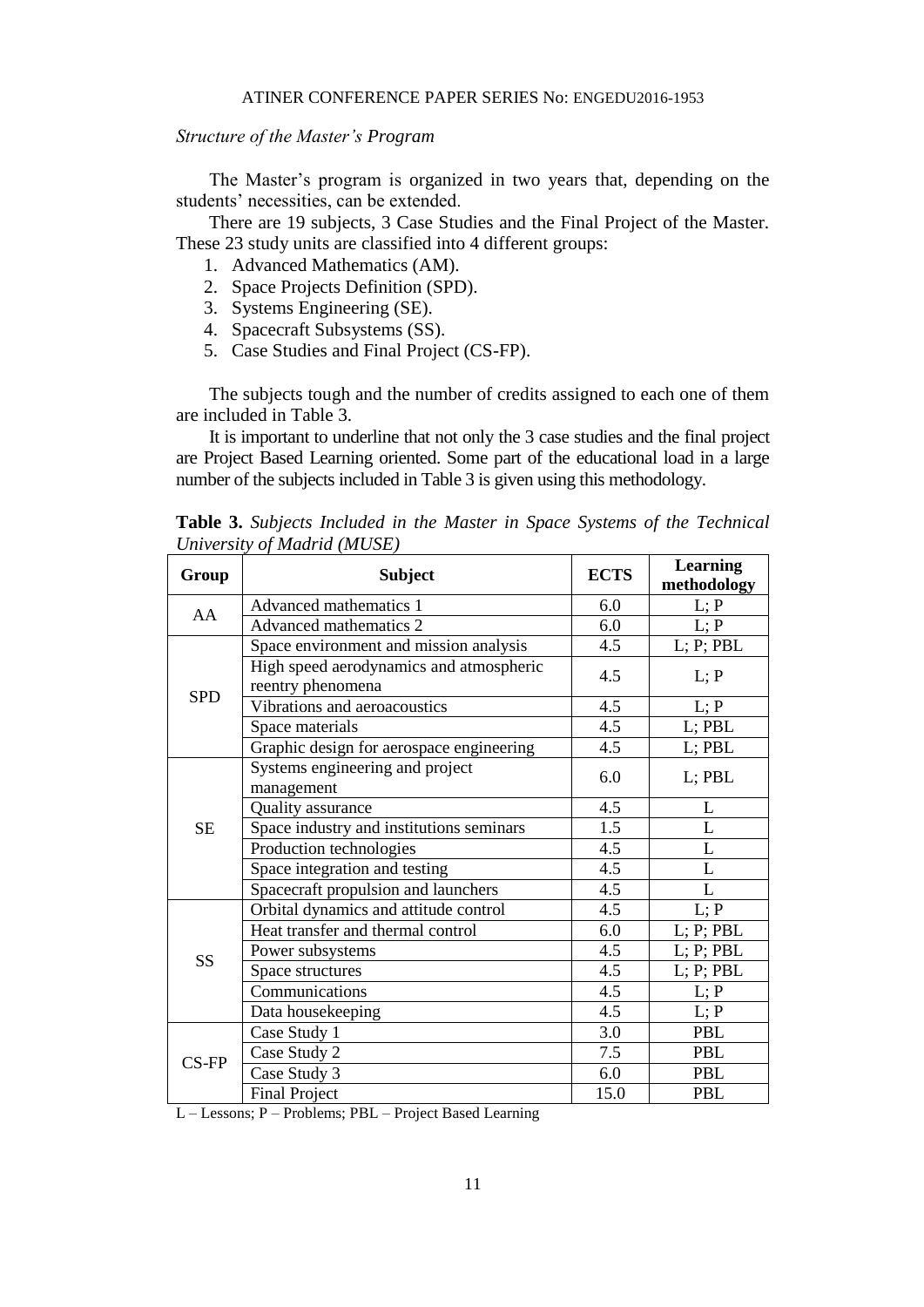#### *Structure of the Master's Program*

The Master's program is organized in two years that, depending on the students' necessities, can be extended.

There are 19 subjects, 3 Case Studies and the Final Project of the Master. These 23 study units are classified into 4 different groups:

- 1. Advanced Mathematics (AM).
- 2. Space Projects Definition (SPD).
- 3. Systems Engineering (SE).
- 4. Spacecraft Subsystems (SS).
- 5. Case Studies and Final Project (CS-FP).

The subjects tough and the number of credits assigned to each one of them are included in Table 3.

It is important to underline that not only the 3 case studies and the final project are Project Based Learning oriented. Some part of the educational load in a large number of the subjects included in Table 3 is given using this methodology.

**Table 3.** *Subjects Included in the Master in Space Systems of the Technical University of Madrid (MUSE)*

| Group      | <b>Subject</b>                                               | <b>ECTS</b> | <b>Learning</b><br>methodology |
|------------|--------------------------------------------------------------|-------------|--------------------------------|
| AA         | Advanced mathematics 1                                       | 6.0         | L; P                           |
|            | Advanced mathematics 2                                       | 6.0         | L; P                           |
|            | Space environment and mission analysis                       | 4.5         | L; P; PBL                      |
|            | High speed aerodynamics and atmospheric<br>reentry phenomena | 4.5         | L; P                           |
| <b>SPD</b> | Vibrations and aeroacoustics                                 | 4.5         | L; P                           |
|            | Space materials                                              | 4.5         | $L$ ; PB $L$                   |
|            | Graphic design for aerospace engineering                     | 4.5         | L; PBL                         |
| <b>SE</b>  | Systems engineering and project<br>management                | 6.0         | L; PBL                         |
|            | Quality assurance                                            | 4.5         | L                              |
|            | Space industry and institutions seminars                     | 1.5         | L                              |
|            | Production technologies                                      | 4.5         | L                              |
|            | Space integration and testing                                | 4.5         | L                              |
|            | Spacecraft propulsion and launchers                          | 4.5         | L                              |
|            | Orbital dynamics and attitude control                        |             | L; P                           |
| <b>SS</b>  | Heat transfer and thermal control                            | 6.0         | L; P; PBL                      |
|            | Power subsystems                                             | 4.5         | L; P; PBL                      |
|            | Space structures                                             | 4.5         | L; P; PBL                      |
|            | Communications                                               | 4.5         | L; P                           |
|            | Data housekeeping                                            | 4.5         | L; P                           |
| $CS$ -FP   | Case Study 1                                                 | 3.0         | <b>PBL</b>                     |
|            | Case Study 2                                                 | 7.5         | <b>PBL</b>                     |
|            | Case Study 3                                                 | 6.0         | <b>PBL</b>                     |
|            | <b>Final Project</b>                                         | 15.0        | <b>PBL</b>                     |

L – Lessons; P – Problems; PBL – Project Based Learning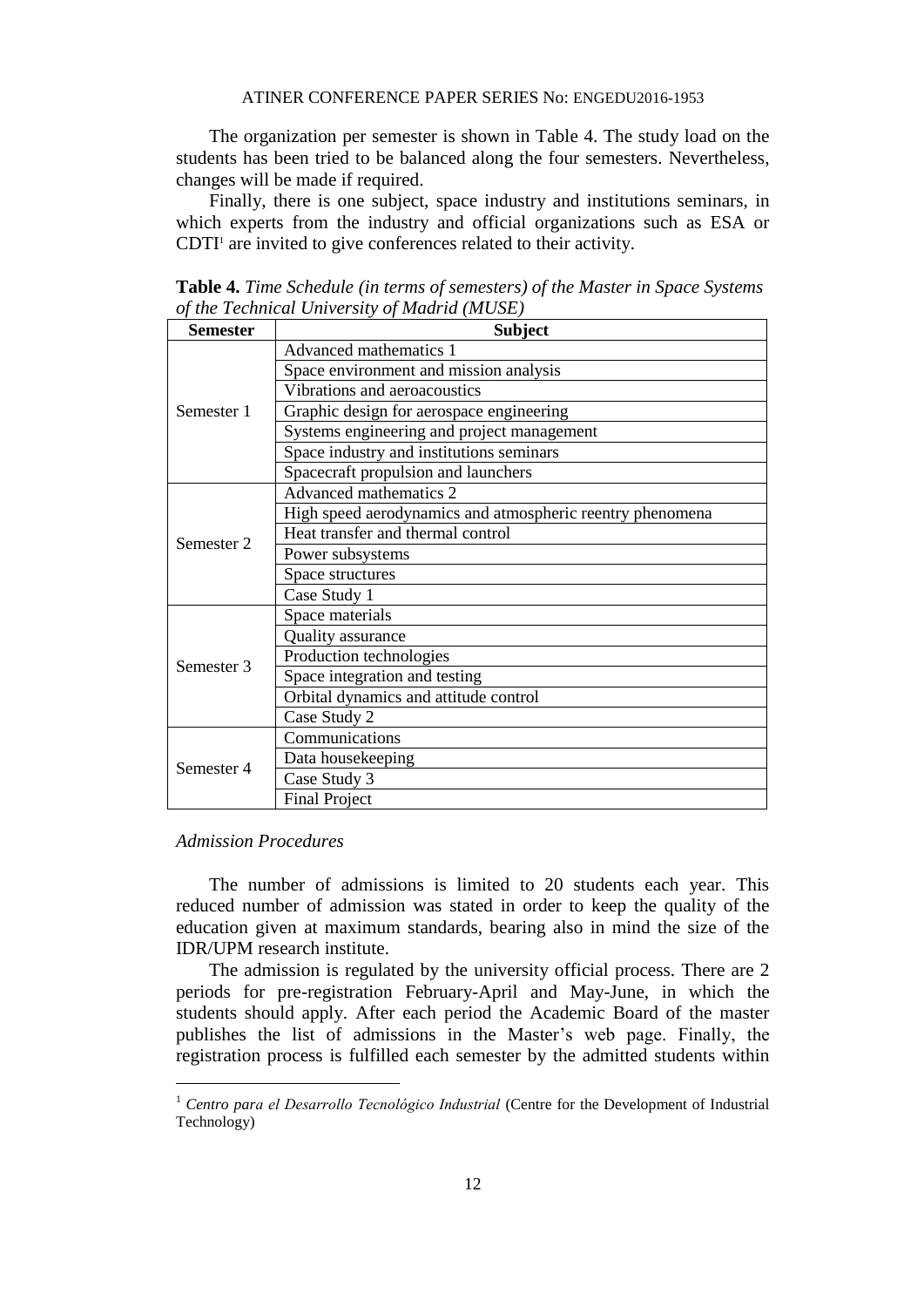The organization per semester is shown in Table 4. The study load on the students has been tried to be balanced along the four semesters. Nevertheless, changes will be made if required.

Finally, there is one subject, space industry and institutions seminars, in which experts from the industry and official organizations such as ESA or CDTI<sup>1</sup> are invited to give conferences related to their activity.

| <b>Semester</b> | <b>Subject</b>                                            |
|-----------------|-----------------------------------------------------------|
| Semester 1      | Advanced mathematics 1                                    |
|                 | Space environment and mission analysis                    |
|                 | Vibrations and aeroacoustics                              |
|                 | Graphic design for aerospace engineering                  |
|                 | Systems engineering and project management                |
|                 | Space industry and institutions seminars                  |
|                 | Spacecraft propulsion and launchers                       |
| Semester 2      | Advanced mathematics 2                                    |
|                 | High speed aerodynamics and atmospheric reentry phenomena |
|                 | Heat transfer and thermal control                         |
|                 | Power subsystems                                          |
|                 | Space structures                                          |
|                 | Case Study 1                                              |
|                 | Space materials                                           |
|                 | Quality assurance                                         |
| Semester 3      | Production technologies                                   |
|                 | Space integration and testing                             |
|                 | Orbital dynamics and attitude control                     |
|                 | Case Study 2                                              |
|                 | Communications                                            |
|                 | Data housekeeping                                         |
| Semester 4      | Case Study 3                                              |
|                 | <b>Final Project</b>                                      |

**Table 4.** *Time Schedule (in terms of semesters) of the Master in Space Systems of the Technical University of Madrid (MUSE)*

#### *Admission Procedures*

 $\overline{a}$ 

The number of admissions is limited to 20 students each year. This reduced number of admission was stated in order to keep the quality of the education given at maximum standards, bearing also in mind the size of the IDR/UPM research institute.

The admission is regulated by the university official process. There are 2 periods for pre-registration February-April and May-June, in which the students should apply. After each period the Academic Board of the master publishes the list of admissions in the Master's web page. Finally, the registration process is fulfilled each semester by the admitted students within

<sup>1</sup> *Centro para el Desarrollo Tecnológico Industrial* (Centre for the Development of Industrial Technology)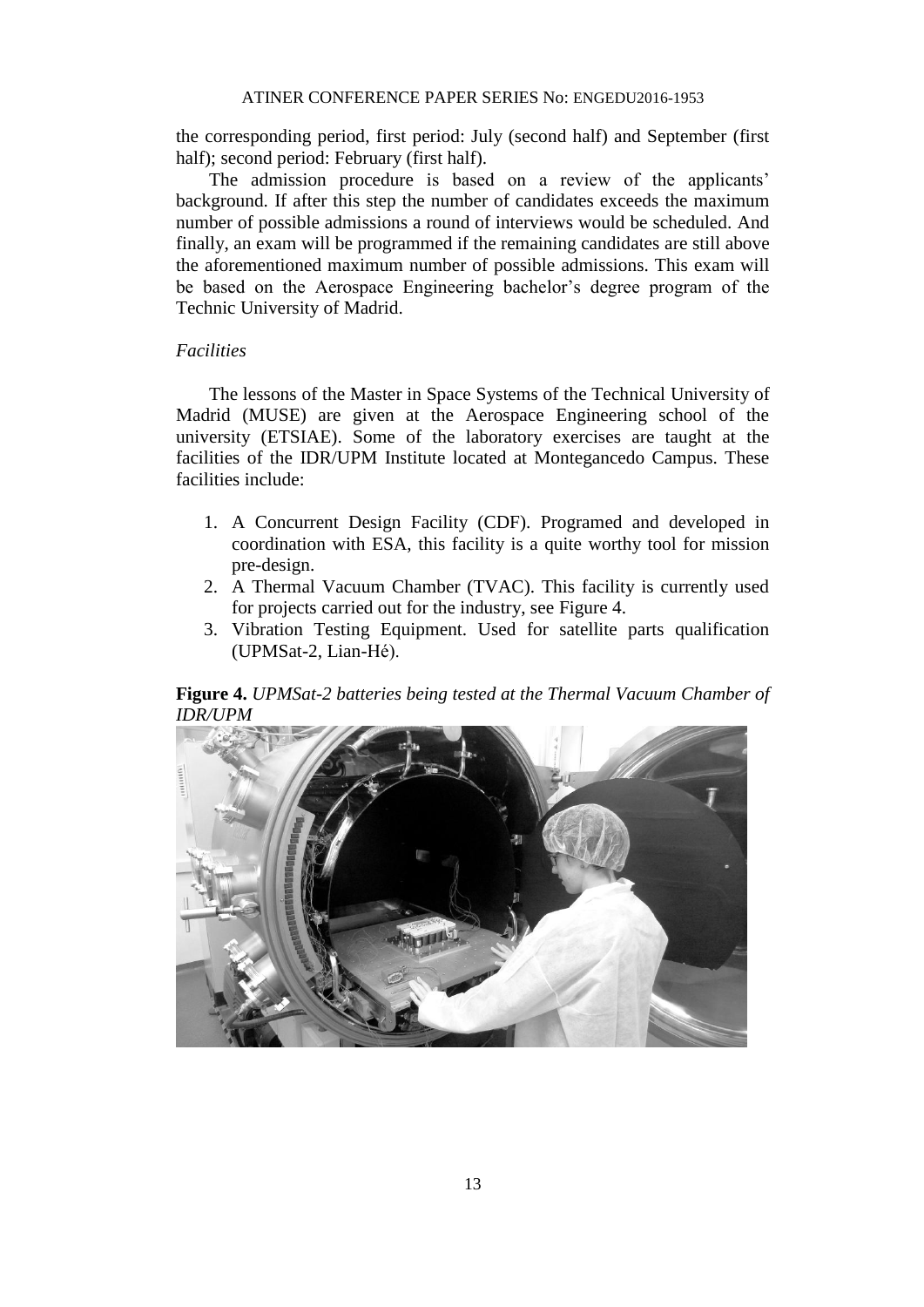the corresponding period, first period: July (second half) and September (first half); second period: February (first half).

The admission procedure is based on a review of the applicants' background. If after this step the number of candidates exceeds the maximum number of possible admissions a round of interviews would be scheduled. And finally, an exam will be programmed if the remaining candidates are still above the aforementioned maximum number of possible admissions. This exam will be based on the Aerospace Engineering bachelor's degree program of the Technic University of Madrid.

#### *Facilities*

The lessons of the Master in Space Systems of the Technical University of Madrid (MUSE) are given at the Aerospace Engineering school of the university (ETSIAE). Some of the laboratory exercises are taught at the facilities of the IDR/UPM Institute located at Montegancedo Campus. These facilities include:

- 1. A Concurrent Design Facility (CDF). Programed and developed in coordination with ESA, this facility is a quite worthy tool for mission pre-design.
- 2. A Thermal Vacuum Chamber (TVAC). This facility is currently used for projects carried out for the industry, see Figure 4.
- 3. Vibration Testing Equipment. Used for satellite parts qualification (UPMSat-2, Lian-Hé).

**Figure 4.** *UPMSat-2 batteries being tested at the Thermal Vacuum Chamber of IDR/UPM*

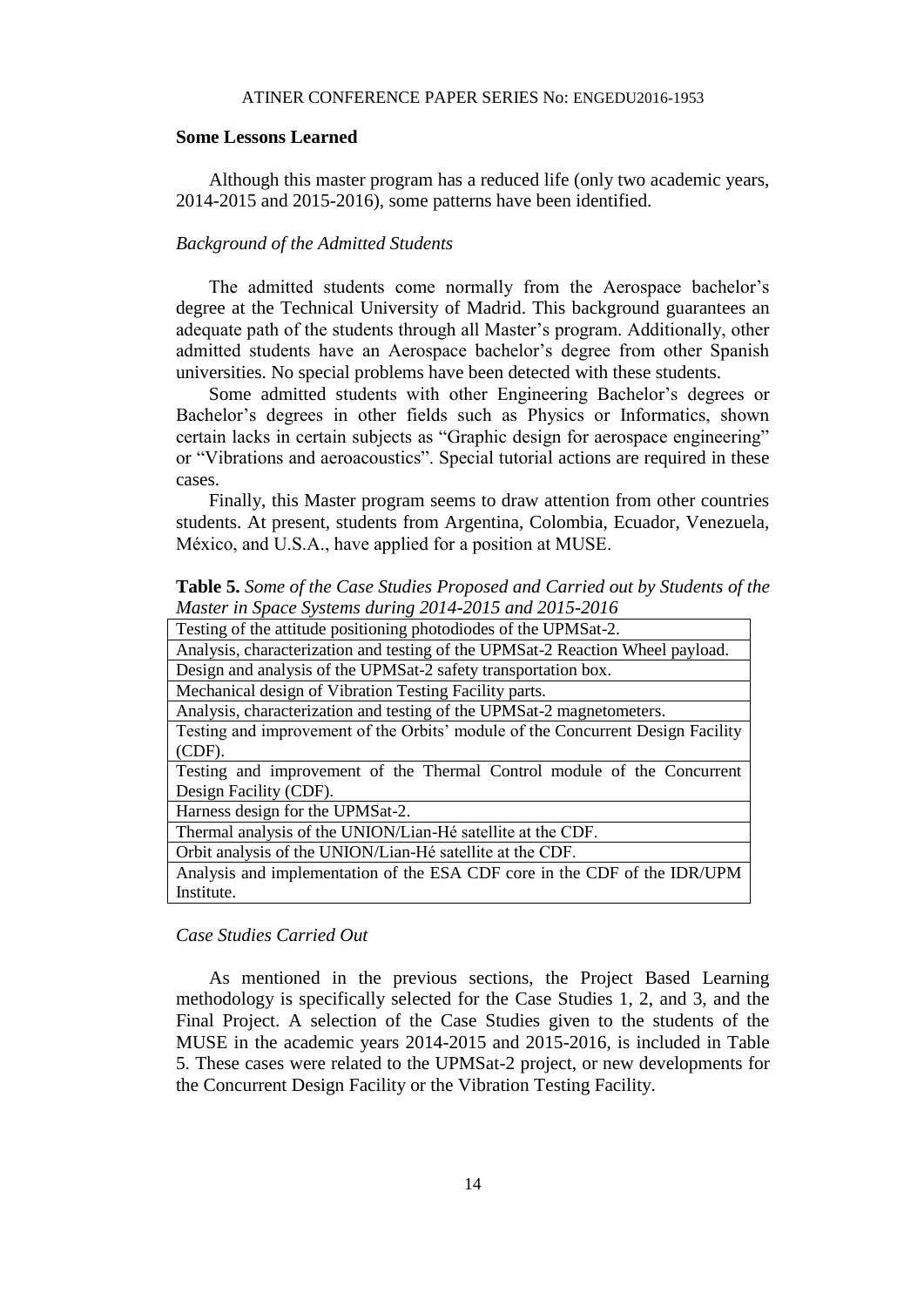#### **Some Lessons Learned**

Although this master program has a reduced life (only two academic years, 2014-2015 and 2015-2016), some patterns have been identified.

#### *Background of the Admitted Students*

The admitted students come normally from the Aerospace bachelor's degree at the Technical University of Madrid. This background guarantees an adequate path of the students through all Master's program. Additionally, other admitted students have an Aerospace bachelor's degree from other Spanish universities. No special problems have been detected with these students.

Some admitted students with other Engineering Bachelor's degrees or Bachelor's degrees in other fields such as Physics or Informatics, shown certain lacks in certain subjects as "Graphic design for aerospace engineering" or "Vibrations and aeroacoustics". Special tutorial actions are required in these cases.

Finally, this Master program seems to draw attention from other countries students. At present, students from Argentina, Colombia, Ecuador, Venezuela, México, and U.S.A., have applied for a position at MUSE.

**Table 5.** *Some of the Case Studies Proposed and Carried out by Students of the Master in Space Systems during 2014-2015 and 2015-2016*

| Testing of the attitude positioning photodiodes of the UPMSat-2.                |  |
|---------------------------------------------------------------------------------|--|
| Analysis, characterization and testing of the UPMSat-2 Reaction Wheel payload.  |  |
| Design and analysis of the UPMSat-2 safety transportation box.                  |  |
| Mechanical design of Vibration Testing Facility parts.                          |  |
| Analysis, characterization and testing of the UPMSat-2 magnetometers.           |  |
| Testing and improvement of the Orbits' module of the Concurrent Design Facility |  |
| (CDF).                                                                          |  |
| Testing and improvement of the Thermal Control module of the Concurrent         |  |
| Design Facility (CDF).                                                          |  |
| Harness design for the UPMSat-2.                                                |  |
| Thermal analysis of the UNION/Lian-Hé satellite at the CDF.                     |  |
| Orbit analysis of the UNION/Lian-Hé satellite at the CDF.                       |  |
| Analysis and implementation of the ESA CDF core in the CDF of the IDR/UPM       |  |
| Institute.                                                                      |  |

#### *Case Studies Carried Out*

As mentioned in the previous sections, the Project Based Learning methodology is specifically selected for the Case Studies 1, 2, and 3, and the Final Project. A selection of the Case Studies given to the students of the MUSE in the academic years 2014-2015 and 2015-2016, is included in Table 5. These cases were related to the UPMSat-2 project, or new developments for the Concurrent Design Facility or the Vibration Testing Facility.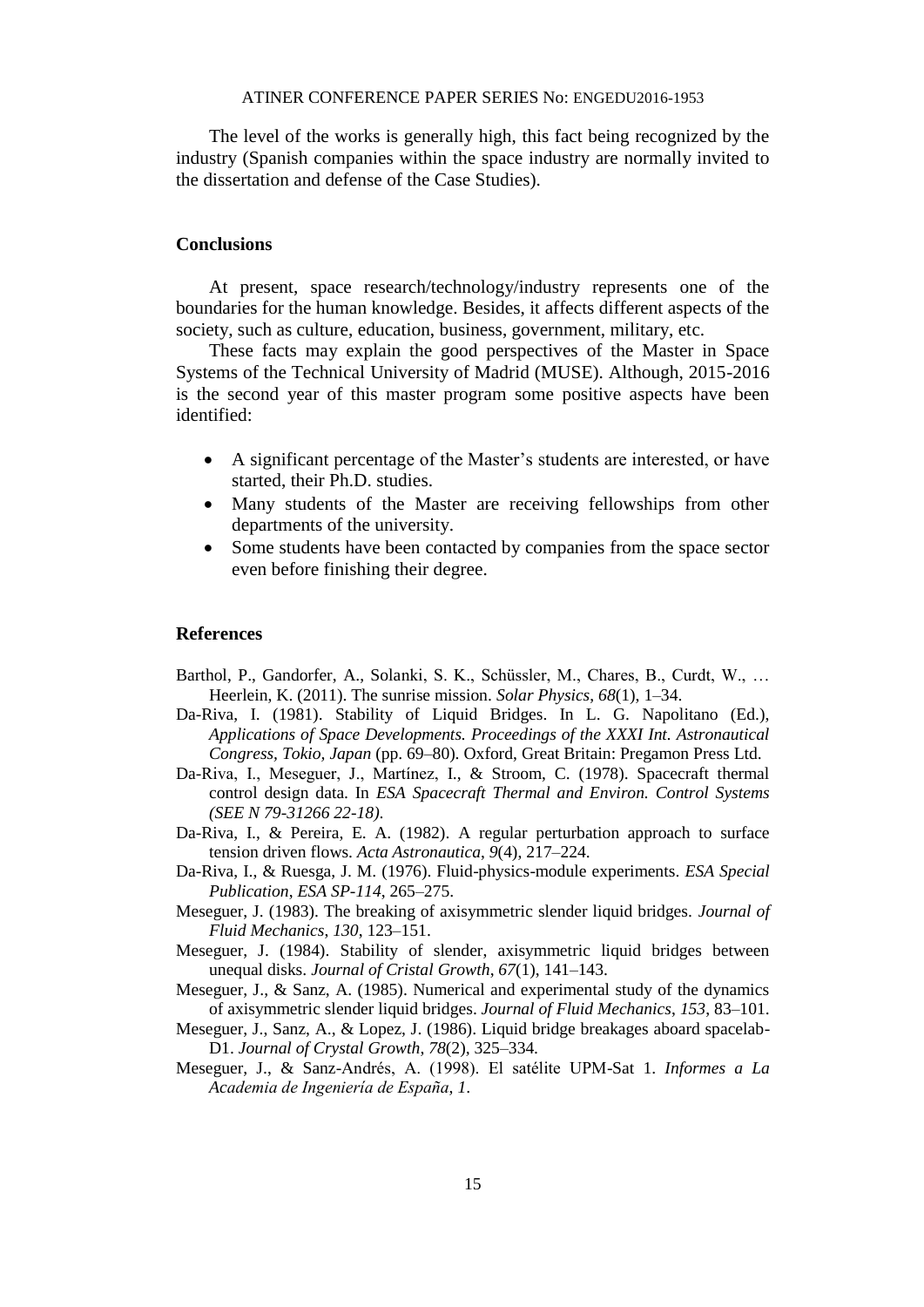The level of the works is generally high, this fact being recognized by the industry (Spanish companies within the space industry are normally invited to the dissertation and defense of the Case Studies).

#### **Conclusions**

At present, space research/technology/industry represents one of the boundaries for the human knowledge. Besides, it affects different aspects of the society, such as culture, education, business, government, military, etc.

These facts may explain the good perspectives of the Master in Space Systems of the Technical University of Madrid (MUSE). Although, 2015-2016 is the second year of this master program some positive aspects have been identified:

- A significant percentage of the Master's students are interested, or have started, their Ph.D. studies.
- Many students of the Master are receiving fellowships from other departments of the university.
- Some students have been contacted by companies from the space sector even before finishing their degree.

#### **References**

- Barthol, P., Gandorfer, A., Solanki, S. K., Schüssler, M., Chares, B., Curdt, W., … Heerlein, K. (2011). The sunrise mission. *Solar Physics*, *68*(1), 1–34.
- Da-Riva, I. (1981). Stability of Liquid Bridges. In L. G. Napolitano (Ed.), *Applications of Space Developments. Proceedings of the XXXI Int. Astronautical Congress, Tokio, Japan* (pp. 69–80). Oxford, Great Britain: Pregamon Press Ltd.
- Da-Riva, I., Meseguer, J., Martínez, I., & Stroom, C. (1978). Spacecraft thermal control design data. In *ESA Spacecraft Thermal and Environ. Control Systems (SEE N 79-31266 22-18)*.
- Da-Riva, I., & Pereira, E. A. (1982). A regular perturbation approach to surface tension driven flows. *Acta Astronautica*, *9*(4), 217–224.
- Da-Riva, I., & Ruesga, J. M. (1976). Fluid-physics-module experiments. *ESA Special Publication*, *ESA SP-114*, 265–275.
- Meseguer, J. (1983). The breaking of axisymmetric slender liquid bridges. *Journal of Fluid Mechanics*, *130*, 123–151.
- Meseguer, J. (1984). Stability of slender, axisymmetric liquid bridges between unequal disks. *Journal of Cristal Growth*, *67*(1), 141–143.
- Meseguer, J., & Sanz, A. (1985). Numerical and experimental study of the dynamics of axisymmetric slender liquid bridges. *Journal of Fluid Mechanics*, *153*, 83–101.
- Meseguer, J., Sanz, A., & Lopez, J. (1986). Liquid bridge breakages aboard spacelab-D1. *Journal of Crystal Growth*, *78*(2), 325–334.
- Meseguer, J., & Sanz-Andrés, A. (1998). El satélite UPM-Sat 1. *Informes a La Academia de Ingeniería de España*, *1*.